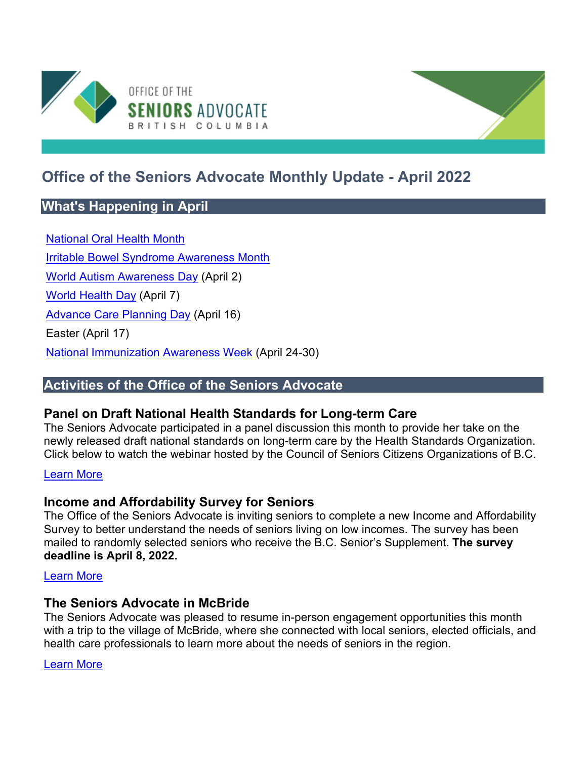

# **Office of the Seniors Advocate Monthly Update - April 2022**

# **What's Happening in April**

[National Oral Health Month](https://www.caphd.ca/) [Irritable Bowel Syndrome Awareness Month](https://badgut.org/information-centre/a-z-digestive-topics/ibs-awareness/) [World Autism Awareness Day](https://www.autismspeaks.org/world-autism-awareness-day) (April 2) [World Health Day](https://www.who.int/campaigns/world-health-day/en/) (April 7) [Advance Care Planning Day](https://www.advancecareplanning.ca/acpday/?_ga=2.15194678.1218549905.1618336856-1721813052.1614196316Canadian) (April 16) Easter (April 17) [National Immunization Awareness Week](https://www.immunize.ca/niaw) (April 24-30)

# **Activities of the Office of the Seniors Advocate**

# **Panel on Draft National Health Standards for Long-term Care**

The Seniors Advocate participated in a panel discussion this month to provide her take on the newly released draft national standards on long-term care by the Health Standards Organization. Click below to watch the webinar hosted by the Council of Seniors Citizens Organizations of B.C.

#### [Learn More](https://coscobc.org/cosco-npf-national-standards-in-long-term-care-webinar/)

# **Income and Affordability Survey for Seniors**

The Office of the Seniors Advocate is inviting seniors to complete a new Income and Affordability Survey to better understand the needs of seniors living on low incomes. The survey has been mailed to randomly selected seniors who receive the B.C. Senior's Supplement. **The survey deadline is April 8, 2022.**

#### [Learn More](https://www.seniorsadvocatebc.ca/current-issues/income-and-affordability-survey-2022/)

#### **The Seniors Advocate in McBride**

The Seniors Advocate was pleased to resume in-person engagement opportunities this month with a trip to the village of McBride, where she connected with local seniors, elected officials, and health care professionals to learn more about the needs of seniors in the region.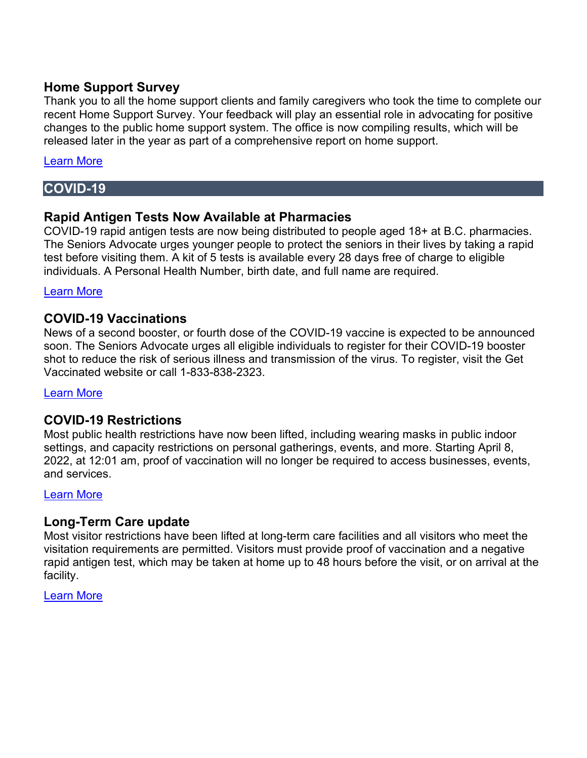#### **Home Support Survey**

Thank you to all the home support clients and family caregivers who took the time to complete our recent Home Support Survey. Your feedback will play an essential role in advocating for positive changes to the public home support system. The office is now compiling results, which will be released later in the year as part of a comprehensive report on home support.

#### [Learn More](https://www.seniorsadvocatebc.ca/current-issues/home-support-survey-2022/)

### **COVID-19**

#### **Rapid Antigen Tests Now Available at Pharmacies**

COVID-19 rapid antigen tests are now being distributed to people aged 18+ at B.C. pharmacies. The Seniors Advocate urges younger people to protect the seniors in their lives by taking a rapid test before visiting them. A kit of 5 tests is available every 28 days free of charge to eligible individuals. A Personal Health Number, birth date, and full name are required.

#### [Learn More](https://www2.gov.bc.ca/gov/content/covid-19/info/testing)

#### **COVID-19 Vaccinations**

News of a second booster, or fourth dose of the COVID-19 vaccine is expected to be announced soon. The Seniors Advocate urges all eligible individuals to register for their COVID-19 booster shot to reduce the risk of serious illness and transmission of the virus. To register, visit the Get Vaccinated website or call 1-833-838-2323.

#### [Learn More](https://www2.gov.bc.ca/gov/content/covid-19/vaccine/register)

# **COVID-19 Restrictions**

Most public health restrictions have now been lifted, including wearing masks in public indoor settings, and capacity restrictions on personal gatherings, events, and more. Starting April 8, 2022, at 12:01 am, proof of vaccination will no longer be required to access businesses, events, and services.

#### [Learn More](https://www2.gov.bc.ca/gov/content/covid-19/info/restrictions)

#### **Long-Term Care update**

Most visitor restrictions have been lifted at long-term care facilities and all visitors who meet the visitation requirements are permitted. Visitors must provide proof of vaccination and a negative rapid antigen test, which may be taken at home up to 48 hours before the visit, or on arrival at the facility.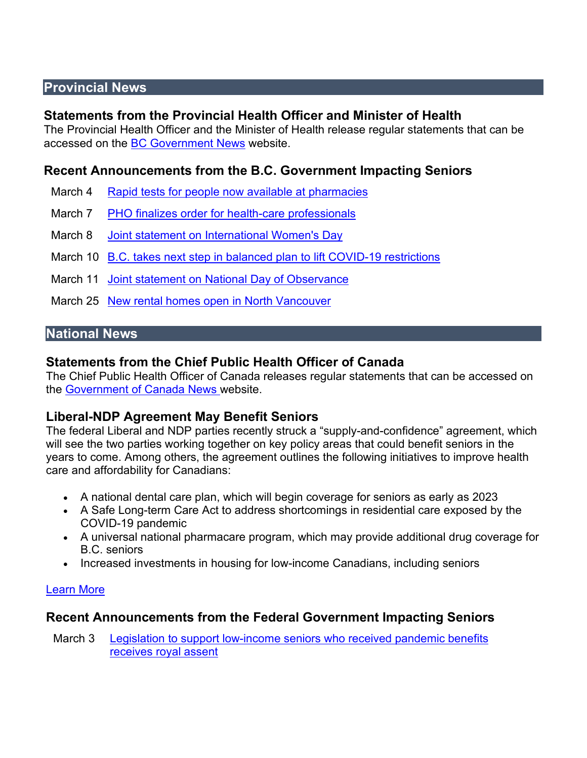# **Provincial News**

# **Statements from the Provincial Health Officer and Minister of Health**

The Provincial Health Officer and the Minister of Health release regular statements that can be accessed on the [BC Government News](https://news.gov.bc.ca/) website.

# **Recent Announcements from the B.C. Government Impacting Seniors**

- March 4 Rapid tests for people now available at pharmacies
- March 7 PHO finalizes order for health-care professionals
- March 8 [Joint statement on International Women's Day](https://news.gov.bc.ca/releases/2022FIN0008-000289)
- March 10 [B.C. takes next step in balanced plan to lift COVID-19 restrictions](https://news.gov.bc.ca/ministries/health)
- March 11 [Joint statement on National Day of Observance](https://news.gov.bc.ca/releases/2022PREM0009-000327)
- March 25 [New rental homes open in North Vancouver](https://news.gov.bc.ca/releases/2022AG0045-000425)

# **National News**

# **Statements from the Chief Public Health Officer of Canada**

The Chief Public Health Officer of Canada releases regular statements that can be accessed on the [Government of Canada News w](https://www.canada.ca/en/news.html)ebsite.

# **Liberal-NDP Agreement May Benefit Seniors**

The federal Liberal and NDP parties recently struck a "supply-and-confidence" agreement, which will see the two parties working together on key policy areas that could benefit seniors in the years to come. Among others, the agreement outlines the following initiatives to improve health care and affordability for Canadians:

- A national dental care plan, which will begin coverage for seniors as early as 2023
- A Safe Long-term Care Act to address shortcomings in residential care exposed by the COVID-19 pandemic
- A universal national pharmacare program, which may provide additional drug coverage for B.C. seniors
- Increased investments in housing for low-income Canadians, including seniors

#### [Learn More](https://pm.gc.ca/en/news/news-releases/2022/03/22/delivering-canadians-now)

# **Recent Announcements from the Federal Government Impacting Seniors**

March 3 [Legislation to support low-income seniors who received pandemic benefits](https://www.canada.ca/en/employment-social-development/news/2022/03/legislation-to-support-low-income-seniors-who-received-pandemic-benefits-receives-royal-assent.html)  [receives royal assent](https://www.canada.ca/en/employment-social-development/news/2022/03/legislation-to-support-low-income-seniors-who-received-pandemic-benefits-receives-royal-assent.html)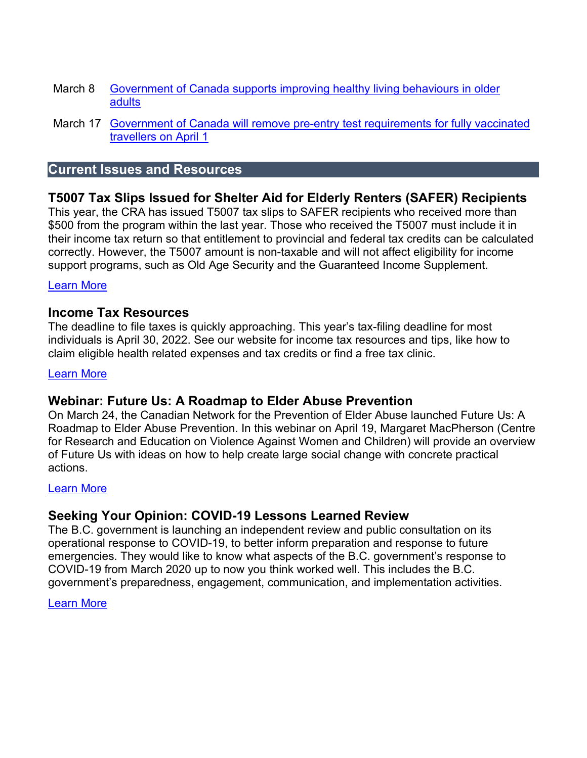- March 8 Government of Canada supports improving healthy living behaviours in older [adults](https://www.canada.ca/en/public-health/news/2022/03/government-of-canada-supports-improving-healthy-living-behaviours-in-older-adults.html)
- March 17 [Government of Canada will remove pre-entry test requirements for fully vaccinated](https://www.canada.ca/en/public-health/news/2022/03/government-of-canada-will-remove-pre-entry-test-requirement-for-fully-vaccinated-travellers-on-april-1.html)  [travellers on April 1](https://www.canada.ca/en/public-health/news/2022/03/government-of-canada-will-remove-pre-entry-test-requirement-for-fully-vaccinated-travellers-on-april-1.html)

# **Current Issues and Resources**

# **T5007 Tax Slips Issued for Shelter Aid for Elderly Renters (SAFER) Recipients**

This year, the CRA has issued T5007 tax slips to SAFER recipients who received more than \$500 from the program within the last year. Those who received the T5007 must include it in their income tax return so that entitlement to provincial and federal tax credits can be calculated correctly. However, the T5007 amount is non-taxable and will not affect eligibility for income support programs, such as Old Age Security and the Guaranteed Income Supplement.

#### [Learn More](https://www.seniorsadvocatebc.ca/current-issues/t5007-tax-slips-safer/)

#### **Income Tax Resources**

The deadline to file taxes is quickly approaching. This year's tax-filing deadline for most individuals is April 30, 2022. See our website for income tax resources and tips, like how to claim eligible health related expenses and tax credits or find a free tax clinic.

#### [Learn More](https://www.seniorsadvocatebc.ca/current-issues/tax-preparation/)

#### **Webinar: Future Us: A Roadmap to Elder Abuse Prevention**

On March 24, the Canadian Network for the Prevention of Elder Abuse launched Future Us: A Roadmap to Elder Abuse Prevention. In this webinar on April 19, Margaret MacPherson (Centre for Research and Education on Violence Against Women and Children) will provide an overview of Future Us with ideas on how to help create large social change with concrete practical actions.

#### [Learn More](https://bccrns.ca/event/provincial-learning-event-cnpea-roadmap)

#### **Seeking Your Opinion: COVID-19 Lessons Learned Review**

The B.C. government is launching an independent review and public consultation on its operational response to COVID-19, to better inform preparation and response to future emergencies. They would like to know what aspects of the B.C. government's response to COVID-19 from March 2020 up to now you think worked well. This includes the B.C. government's preparedness, engagement, communication, and implementation activities.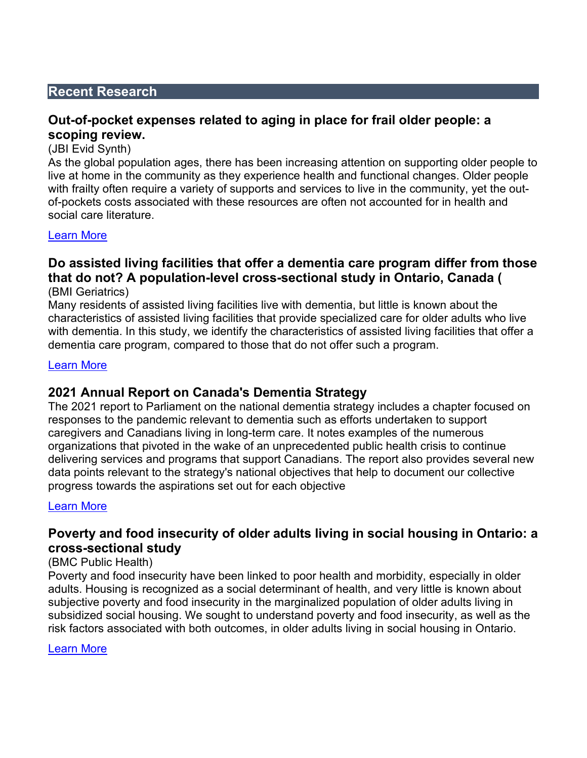#### **Recent Research**

#### **Out-of-pocket expenses related to aging in place for frail older people: a scoping review.**

(JBI Evid Synth)

As the global population ages, there has been increasing attention on supporting older people to live at home in the community as they experience health and functional changes. Older people with frailty often require a variety of supports and services to live in the community, yet the outof-pockets costs associated with these resources are often not accounted for in health and social care literature.

#### [Learn More](https://journals.lww.com/jbisrir/Fulltext/2022/02000/Out_of_pocket_expenses_related_to_aging_in_place.3.aspx)

# **Do assisted living facilities that offer a dementia care program differ from those that do not? A population-level cross-sectional study in Ontario, Canada (**

(BMI Geriatrics)

Many residents of assisted living facilities live with dementia, but little is known about the characteristics of assisted living facilities that provide specialized care for older adults who live with dementia. In this study, we identify the characteristics of assisted living facilities that offer a dementia care program, compared to those that do not offer such a program.

#### [Learn More](https://bmcgeriatr.biomedcentral.com/articles/10.1186/s12877-021-02400-w)

#### **2021 Annual Report on Canada's Dementia Strategy**

The 2021 report to Parliament on the national dementia strategy includes a chapter focused on responses to the pandemic relevant to dementia such as efforts undertaken to support caregivers and Canadians living in long-term care. It notes examples of the numerous organizations that pivoted in the wake of an unprecedented public health crisis to continue delivering services and programs that support Canadians. The report also provides several new data points relevant to the strategy's national objectives that help to document our collective progress towards the aspirations set out for each objective

#### [Learn More](https://www.canada.ca/en/public-health/services/publications/diseases-conditions/dementia-strategy-annual-report-parliament-2021.html?mc_cid=84c4d26482&mc_eid=b7584572b6)

#### **Poverty and food insecurity of older adults living in social housing in Ontario: a cross-sectional study**

#### (BMC Public Health)

Poverty and food insecurity have been linked to poor health and morbidity, especially in older adults. Housing is recognized as a social determinant of health, and very little is known about subjective poverty and food insecurity in the marginalized population of older adults living in subsidized social housing. We sought to understand poverty and food insecurity, as well as the risk factors associated with both outcomes, in older adults living in social housing in Ontario.